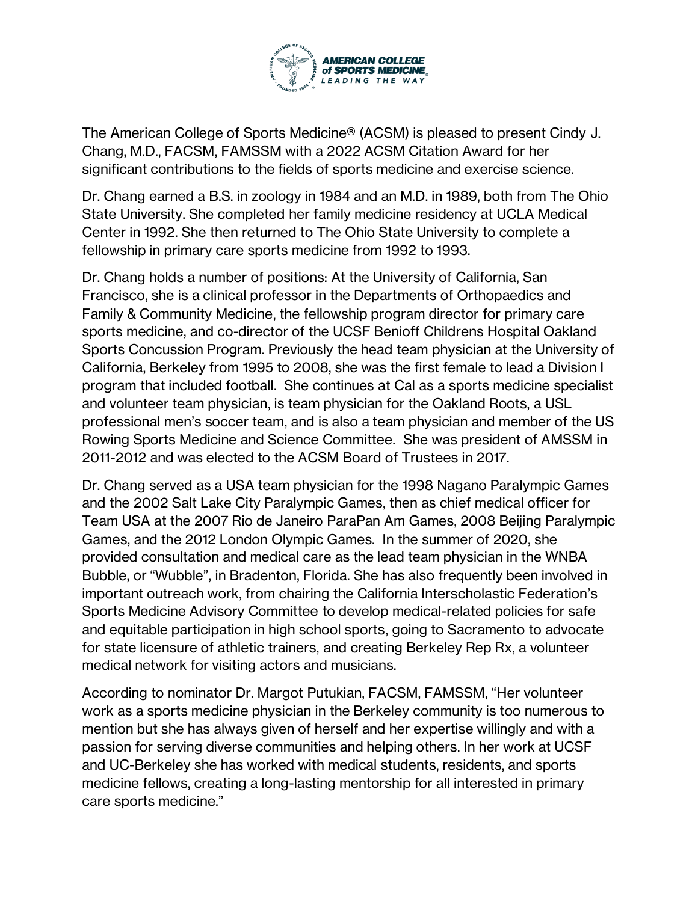

The American College of Sports Medicine® (ACSM) is pleased to present Cindy J. Chang, M.D., FACSM, FAMSSM with a 2022 ACSM Citation Award for her significant contributions to the fields of sports medicine and exercise science.

Dr. Chang earned a B.S. in zoology in 1984 and an M.D. in 1989, both from The Ohio State University. She completed her family medicine residency at UCLA Medical Center in 1992. She then returned to The Ohio State University to complete a fellowship in primary care sports medicine from 1992 to 1993.

Dr. Chang holds a number of positions: At the University of California, San Francisco, she is a clinical professor in the Departments of Orthopaedics and Family & Community Medicine, the fellowship program director for primary care sports medicine, and co-director of the UCSF Benioff Childrens Hospital Oakland Sports Concussion Program. Previously the head team physician at the University of California, Berkeley from 1995 to 2008, she was the first female to lead a Division I program that included football. She continues at Cal as a sports medicine specialist and volunteer team physician, is team physician for the Oakland Roots, a USL professional men's soccer team, and is also a team physician and member of the US Rowing Sports Medicine and Science Committee. She was president of AMSSM in 2011-2012 and was elected to the ACSM Board of Trustees in 2017.

Dr. Chang served as a USA team physician for the 1998 Nagano Paralympic Games and the 2002 Salt Lake City Paralympic Games, then as chief medical officer for Team USA at the 2007 Rio de Janeiro ParaPan Am Games, 2008 Beijing Paralympic Games, and the 2012 London Olympic Games. In the summer of 2020, she provided consultation and medical care as the lead team physician in the WNBA Bubble, or "Wubble", in Bradenton, Florida. She has also frequently been involved in important outreach work, from chairing the California Interscholastic Federation's Sports Medicine Advisory Committee to develop medical-related policies for safe and equitable participation in high school sports, going to Sacramento to advocate for state licensure of athletic trainers, and creating Berkeley Rep Rx, a volunteer medical network for visiting actors and musicians.

According to nominator Dr. Margot Putukian, FACSM, FAMSSM, "Her volunteer work as a sports medicine physician in the Berkeley community is too numerous to mention but she has always given of herself and her expertise willingly and with a passion for serving diverse communities and helping others. In her work at UCSF and UC-Berkeley she has worked with medical students, residents, and sports medicine fellows, creating a long-lasting mentorship for all interested in primary care sports medicine."